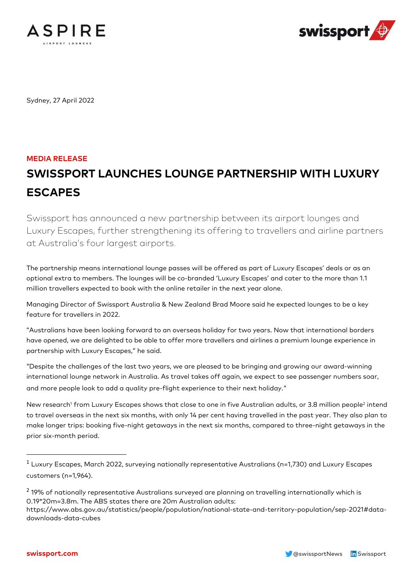



Sydney, 27 April 2022

# **MEDIA RELEASE SWISSPORT LAUNCHES LOUNGE PARTNERSHIP WITH LUXURY ESCAPES**

Swissport has announced a new partnership between its airport lounges and Luxury Escapes, further strengthening its offering to travellers and airline partners at Australia's four largest airports.

The partnership means international lounge passes will be offered as part of Luxury Escapes' deals or as an optional extra to members. The lounges will be co-branded 'Luxury Escapes' and cater to the more than 1.1 million travellers expected to book with the online retailer in the next year alone.

Managing Director of Swissport Australia & New Zealand Brad Moore said he expected lounges to be a key feature for travellers in 2022.

"Australians have been looking forward to an overseas holiday for two years. Now that international borders have opened, we are delighted to be able to offer more travellers and airlines a premium lounge experience in partnership with Luxury Escapes," he said.

"Despite the challenges of the last two years, we are pleased to be bringing and growing our award-winning international lounge network in Australia. As travel takes off again, we expect to see passenger numbers soar, and more people look to add a quality pre-flight experience to their next holiday."

New research<sup>1</sup> from Luxury Escapes shows that close to one in five Australian adults, or 3.8 million people<sup>2</sup> intend to travel overseas in the next six months, with only 14 per cent having travelled in the past year. They also plan to make longer trips: booking five-night getaways in the next six months, compared to three-night getaways in the prior six-month period.

<sup>1</sup> Luxury Escapes, March 2022, surveying nationally representative Australians (n=1,730) and Luxury Escapes customers (n=1,964).

<sup>&</sup>lt;sup>2</sup> 19% of nationally representative Australians surveyed are planning on travelling internationally which is 0.19\*20m=3.8m. The ABS states there are 20m Australian adults:

https://www.abs.gov.au/statistics/people/population/national-state-and-territory-population/sep-2021#datadownloads-data-cubes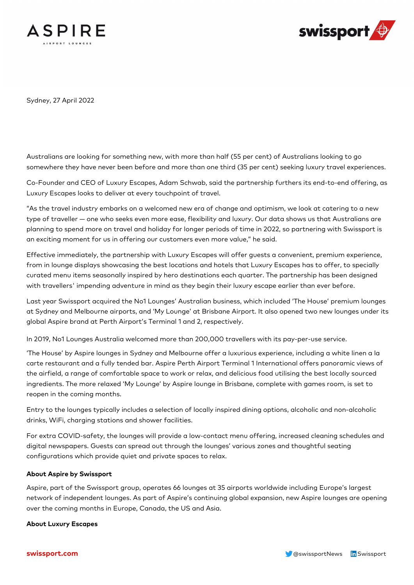



Sydney, 27 April 2022

Australians are looking for something new, with more than half (55 per cent) of Australians looking to go somewhere they have never been before and more than one third (35 per cent) seeking luxury travel experiences.

Co-Founder and CEO of Luxury Escapes, Adam Schwab, said the partnership furthers its end-to-end offering, as Luxury Escapes looks to deliver at every touchpoint of travel.

"As the travel industry embarks on a welcomed new era of change and optimism, we look at catering to a new type of traveller — one who seeks even more ease, flexibility and luxury. Our data shows us that Australians are planning to spend more on travel and holiday for longer periods of time in 2022, so partnering with Swissport is an exciting moment for us in offering our customers even more value," he said.

Effective immediately, the partnership with Luxury Escapes will offer guests a convenient, premium experience, from in lounge displays showcasing the best locations and hotels that Luxury Escapes has to offer, to specially curated menu items seasonally inspired by hero destinations each quarter. The partnership has been designed with travellers' impending adventure in mind as they begin their luxury escape earlier than ever before.

Last year Swissport acquired the No1 Lounges' Australian business, which included 'The House' premium lounges at Sydney and Melbourne airports, and 'My Lounge' at Brisbane Airport. It also opened two new lounges under its global Aspire brand at Perth Airport's Terminal 1 and 2, respectively.

In 2019, No1 Lounges Australia welcomed more than 200,000 travellers with its pay-per-use service.

'The House' by Aspire lounges in Sydney and Melbourne offer a luxurious experience, including a white linen a la carte restaurant and a fully tended bar. Aspire Perth Airport Terminal 1 International offers panoramic views of the airfield, a range of comfortable space to work or relax, and delicious food utilising the best locally sourced ingredients. The more relaxed 'My Lounge' by Aspire lounge in Brisbane, complete with games room, is set to reopen in the coming months.

Entry to the lounges typically includes a selection of locally inspired dining options, alcoholic and non-alcoholic drinks, WiFi, charging stations and shower facilities.

For extra COVID-safety, the lounges will provide a low-contact menu offering, increased cleaning schedules and digital newspapers. Guests can spread out through the lounges' various zones and thoughtful seating configurations which provide quiet and private spaces to relax.

### **About Aspire by Swissport**

Aspire, part of the Swissport group, operates 66 lounges at 35 airports worldwide including Europe's largest network of independent lounges. As part of Aspire's continuing global expansion, new Aspire lounges are opening over the coming months in Europe, Canada, the US and Asia.

### **About Luxury Escapes**